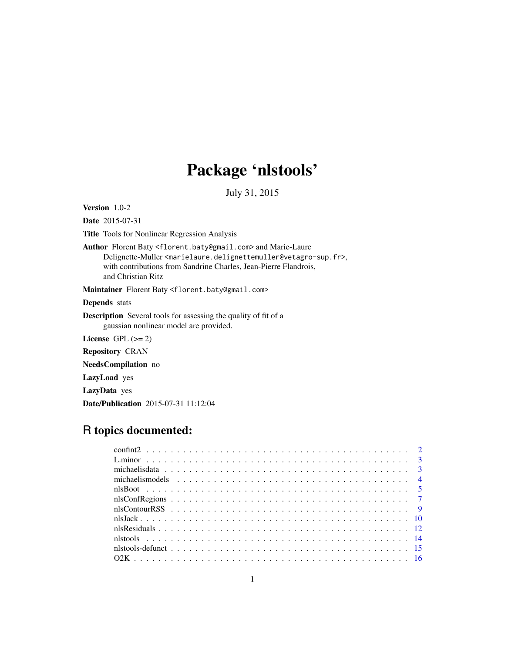# Package 'nlstools'

July 31, 2015

<span id="page-0-0"></span>Version 1.0-2

Date 2015-07-31

Title Tools for Nonlinear Regression Analysis

Author Florent Baty <florent.baty@gmail.com> and Marie-Laure Delignette-Muller<marielaure.delignettemuller@vetagro-sup.fr>, with contributions from Sandrine Charles, Jean-Pierre Flandrois, and Christian Ritz

Maintainer Florent Baty <florent.baty@gmail.com>

Depends stats

Description Several tools for assessing the quality of fit of a gaussian nonlinear model are provided.

License GPL  $(>= 2)$ 

Repository CRAN

NeedsCompilation no

LazyLoad yes

LazyData yes

Date/Publication 2015-07-31 11:12:04

# R topics documented: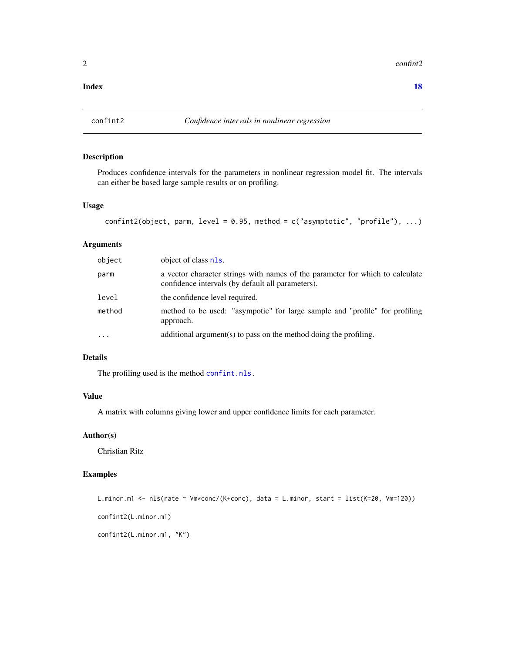<span id="page-1-0"></span>2 confinite  $2 \cos \theta$  confinite  $2 \sin \theta$  confinite  $2 \sin \theta$  confinite  $2 \sin \theta$  confinite  $2 \sin \theta$  confinite  $2 \sin \theta$  confinite  $2 \sin \theta$  confinite  $2 \sin \theta$  confinite  $2 \sin \theta$  confinite  $2 \sin \theta$  confinite  $2 \sin \theta$  confinite  $2 \sin \theta$  con

#### **Index** 2008 **[18](#page-17-0)**

# Description

Produces confidence intervals for the parameters in nonlinear regression model fit. The intervals can either be based large sample results or on profiling.

#### Usage

```
confint2(object, parm, level = 0.95, method = c("asymptotic", "profile"), ...)
```
### Arguments

| object | object of class nls.                                                                                                               |
|--------|------------------------------------------------------------------------------------------------------------------------------------|
| parm   | a vector character strings with names of the parameter for which to calculate<br>confidence intervals (by default all parameters). |
| level  | the confidence level required.                                                                                                     |
| method | method to be used: "asympotic" for large sample and "profile" for profiling<br>approach.                                           |
| .      | additional argument(s) to pass on the method doing the profiling.                                                                  |

#### Details

The profiling used is the method [confint.nls.](#page-0-0)

#### Value

A matrix with columns giving lower and upper confidence limits for each parameter.

### Author(s)

Christian Ritz

#### Examples

```
L.minor.m1 <- nls(rate ~ Vm*conc/(K+conc), data = L.minor, start = list(K=20, Vm=120))
confint2(L.minor.m1)
confint2(L.minor.m1, "K")
```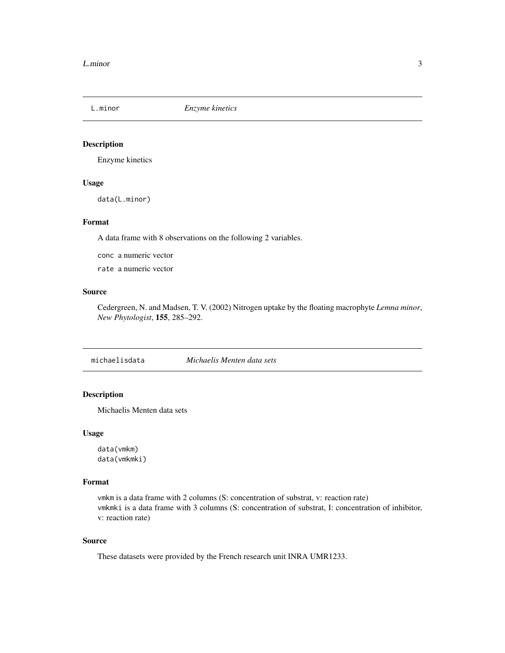<span id="page-2-0"></span>

### Description

Enzyme kinetics

#### Usage

data(L.minor)

#### Format

A data frame with 8 observations on the following 2 variables.

conc a numeric vector

rate a numeric vector

#### Source

Cedergreen, N. and Madsen, T. V. (2002) Nitrogen uptake by the floating macrophyte *Lemna minor*, *New Phytologist*, 155, 285–292.

michaelisdata *Michaelis Menten data sets*

### Description

Michaelis Menten data sets

#### Usage

data(vmkm) data(vmkmki)

#### Format

vmkm is a data frame with 2 columns (S: concentration of substrat, v: reaction rate) vmkmki is a data frame with 3 columns (S: concentration of substrat, I: concentration of inhibitor, v: reaction rate)

#### Source

These datasets were provided by the French research unit INRA UMR1233.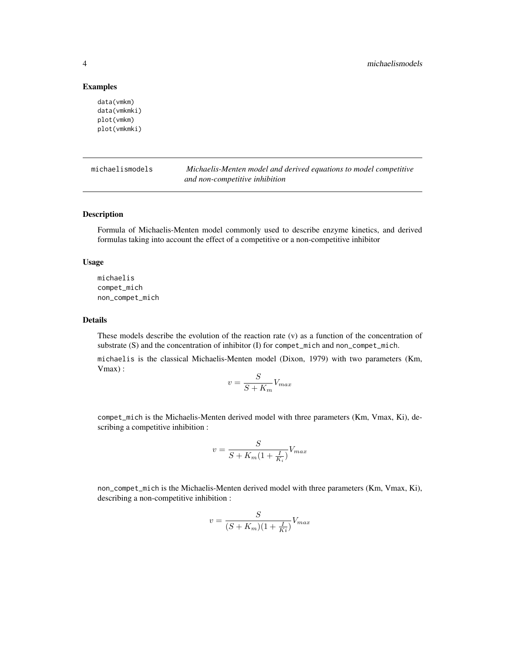#### Examples

```
data(vmkm)
data(vmkmki)
plot(vmkm)
plot(vmkmki)
```
michaelismodels *Michaelis-Menten model and derived equations to model competitive and non-competitive inhibition*

#### Description

Formula of Michaelis-Menten model commonly used to describe enzyme kinetics, and derived formulas taking into account the effect of a competitive or a non-competitive inhibitor

#### Usage

michaelis compet\_mich non\_compet\_mich

#### Details

These models describe the evolution of the reaction rate (v) as a function of the concentration of substrate (S) and the concentration of inhibitor (I) for compet\_mich and non\_compet\_mich.

michaelis is the classical Michaelis-Menten model (Dixon, 1979) with two parameters (Km, Vmax) :

$$
v = \frac{S}{S + K_m} V_{max}
$$

compet\_mich is the Michaelis-Menten derived model with three parameters (Km, Vmax, Ki), describing a competitive inhibition :

$$
v = \frac{S}{S + K_m(1 + \frac{I}{K_i})} V_{max}
$$

non\_compet\_mich is the Michaelis-Menten derived model with three parameters (Km, Vmax, Ki), describing a non-competitive inhibition :

$$
v = \frac{S}{(S + K_m)(1 + \frac{I}{Ki})} V_{max}
$$

<span id="page-3-0"></span>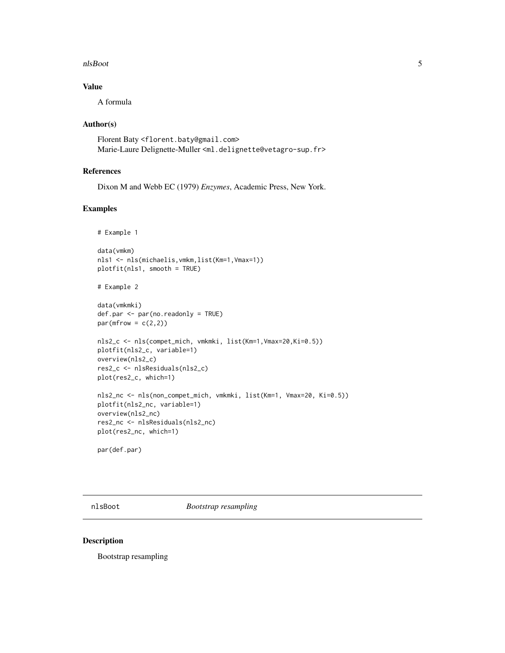#### <span id="page-4-0"></span>nlsBoot 5

# Value

A formula

#### Author(s)

Florent Baty <florent.baty@gmail.com> Marie-Laure Delignette-Muller <ml.delignette@vetagro-sup.fr>

#### References

Dixon M and Webb EC (1979) *Enzymes*, Academic Press, New York.

# Examples

```
# Example 1
data(vmkm)
nls1 <- nls(michaelis,vmkm,list(Km=1,Vmax=1))
plotfit(nls1, smooth = TRUE)
# Example 2
data(vmkmki)
def.par <- par(no.readonly = TRUE)
par(mfrow = c(2,2))nls2_c <- nls(compet_mich, vmkmki, list(Km=1,Vmax=20,Ki=0.5))
plotfit(nls2_c, variable=1)
overview(nls2_c)
res2_c <- nlsResiduals(nls2_c)
plot(res2_c, which=1)
nls2_nc <- nls(non_compet_mich, vmkmki, list(Km=1, Vmax=20, Ki=0.5))
plotfit(nls2_nc, variable=1)
overview(nls2_nc)
res2_nc <- nlsResiduals(nls2_nc)
plot(res2_nc, which=1)
par(def.par)
```
nlsBoot *Bootstrap resampling*

#### Description

Bootstrap resampling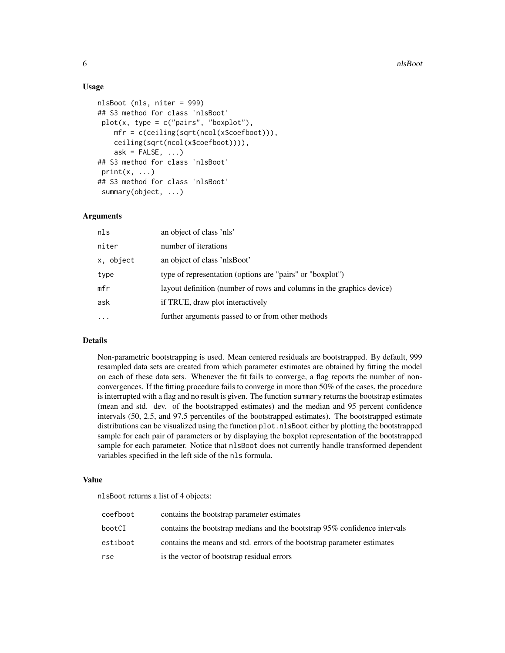#### Usage

```
nlsBoot (nls, niter = 999)
## S3 method for class 'nlsBoot'
plot(x, type = c("pairs", "boxplot"),mfr = c(ceiling(sqrt(ncol(x$coefboot))),
    ceiling(sqrt(ncol(x$coefboot)))),
    ask = FALSE, ...)## S3 method for class 'nlsBoot'
print(x, \ldots)## S3 method for class 'nlsBoot'
summary(object, ...)
```
#### Arguments

| nls       | an object of class 'nls'                                              |
|-----------|-----------------------------------------------------------------------|
| niter     | number of iterations                                                  |
| x, object | an object of class 'nlsBoot'                                          |
| type      | type of representation (options are "pairs" or "boxplot")             |
| mfr       | layout definition (number of rows and columns in the graphics device) |
| ask       | if TRUE, draw plot interactively                                      |
| $\ddotsc$ | further arguments passed to or from other methods                     |
|           |                                                                       |

#### Details

Non-parametric bootstrapping is used. Mean centered residuals are bootstrapped. By default, 999 resampled data sets are created from which parameter estimates are obtained by fitting the model on each of these data sets. Whenever the fit fails to converge, a flag reports the number of nonconvergences. If the fitting procedure fails to converge in more than 50% of the cases, the procedure is interrupted with a flag and no result is given. The function summary returns the bootstrap estimates (mean and std. dev. of the bootstrapped estimates) and the median and 95 percent confidence intervals (50, 2.5, and 97.5 percentiles of the bootstrapped estimates). The bootstrapped estimate distributions can be visualized using the function plot.nlsBoot either by plotting the bootstrapped sample for each pair of parameters or by displaying the boxplot representation of the bootstrapped sample for each parameter. Notice that  $nlsBoost$  does not currently handle transformed dependent variables specified in the left side of the nls formula.

#### Value

nlsBoot returns a list of 4 objects:

| coefboot | contains the bootstrap parameter estimates                                |
|----------|---------------------------------------------------------------------------|
| bootCI   | contains the bootstrap medians and the bootstrap 95% confidence intervals |
| estiboot | contains the means and std. errors of the bootstrap parameter estimates   |
| rse      | is the vector of bootstrap residual errors                                |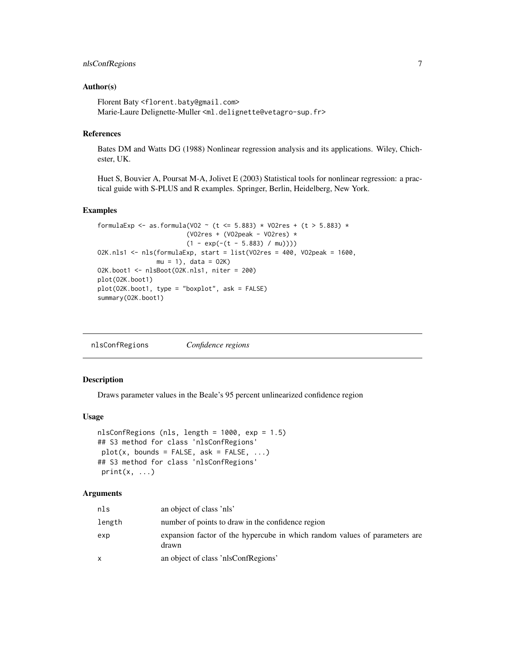### <span id="page-6-0"></span>nlsConfRegions 7

#### Author(s)

Florent Baty <florent.baty@gmail.com> Marie-Laure Delignette-Muller <ml.delignette@vetagro-sup.fr>

#### References

Bates DM and Watts DG (1988) Nonlinear regression analysis and its applications. Wiley, Chichester, UK.

Huet S, Bouvier A, Poursat M-A, Jolivet E (2003) Statistical tools for nonlinear regression: a practical guide with S-PLUS and R examples. Springer, Berlin, Heidelberg, New York.

#### Examples

```
formulaExp <- as.formula(VO2 ~ (t <= 5.883) * VO2res + (t > 5.883) *
                        (VO2res + (VO2peak - VO2res) *
                        (1 - \exp(-(t - 5.883) / \text{mu})))O2K.nls1 <- nls(formulaExp, start = list(VO2res = 400, VO2peak = 1600,
               mu = 1, data = 02K)
O2K.boot1 <- nlsBoot(O2K.nls1, niter = 200)
plot(O2K.boot1)
plot(O2K.boot1, type = "boxplot", ask = FALSE)
summary(O2K.boot1)
```

| nlsConfRegions | Confidence regions |
|----------------|--------------------|
|                |                    |
|                |                    |

#### Description

Draws parameter values in the Beale's 95 percent unlinearized confidence region

#### Usage

```
nlsConfRegions (nls, length = 1000, exp = 1.5)
## S3 method for class 'nlsConfRegions'
plot(x, bounds = FALSE, ask = FALSE, ...)## S3 method for class 'nlsConfRegions'
print(x, \ldots)
```
#### Arguments

| nls    | an object of class 'nls'                                                            |
|--------|-------------------------------------------------------------------------------------|
| length | number of points to draw in the confidence region                                   |
| exp    | expansion factor of the hypercube in which random values of parameters are<br>drawn |
| X      | an object of class 'nlsConfRegions'                                                 |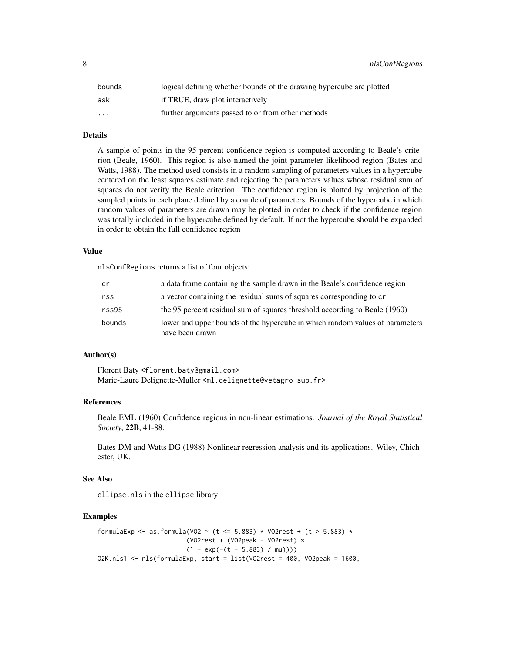8 **a** nlsConfRegions **b** nlsConfRegions **b** nlsConfRegions **b** nlsConfRegions **b** nlsConfRegions **b** nlsConfRegions **b**  $\frac{1}{2}$ 

| bounds   | logical defining whether bounds of the drawing hypercube are plotted |
|----------|----------------------------------------------------------------------|
| ask      | if TRUE, draw plot interactively                                     |
| $\cdots$ | further arguments passed to or from other methods                    |

# Details

A sample of points in the 95 percent confidence region is computed according to Beale's criterion (Beale, 1960). This region is also named the joint parameter likelihood region (Bates and Watts, 1988). The method used consists in a random sampling of parameters values in a hypercube centered on the least squares estimate and rejecting the parameters values whose residual sum of squares do not verify the Beale criterion. The confidence region is plotted by projection of the sampled points in each plane defined by a couple of parameters. Bounds of the hypercube in which random values of parameters are drawn may be plotted in order to check if the confidence region was totally included in the hypercube defined by default. If not the hypercube should be expanded in order to obtain the full confidence region

#### Value

nlsConfRegions returns a list of four objects:

| cr     | a data frame containing the sample drawn in the Beale's confidence region                       |
|--------|-------------------------------------------------------------------------------------------------|
| rss    | a vector containing the residual sums of squares corresponding to cr                            |
| rss95  | the 95 percent residual sum of squares threshold according to Beale (1960)                      |
| bounds | lower and upper bounds of the hypercube in which random values of parameters<br>have been drawn |

#### Author(s)

Florent Baty <florent.baty@gmail.com> Marie-Laure Delignette-Muller <ml.delignette@vetagro-sup.fr>

#### References

Beale EML (1960) Confidence regions in non-linear estimations. *Journal of the Royal Statistical Society*, 22B, 41-88.

Bates DM and Watts DG (1988) Nonlinear regression analysis and its applications. Wiley, Chichester, UK.

#### See Also

ellipse.nls in the ellipse library

#### Examples

```
formulaExp <- as.formula(VO2 ~ (t <= 5.883) * VO2rest + (t > 5.883) *
                        (VO2rest + (VO2peak - VO2rest) *
                        (1 - \exp(-(t - 5.883) / \text{mu})))O2K.nls1 <- nls(formulaExp, start = list(VO2rest = 400, VO2peak = 1600,
```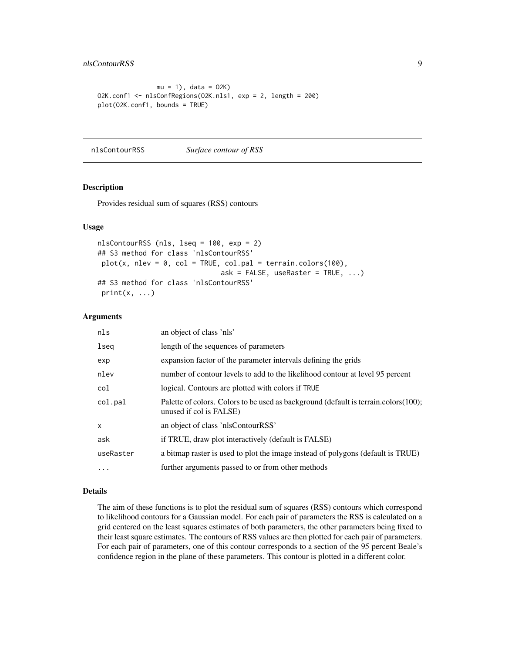#### <span id="page-8-0"></span>nlsContourRSS 9

```
mu = 1, data = 02K)
O2K.conf1 <- nlsConfRegions(O2K.nls1, exp = 2, length = 200)
plot(O2K.conf1, bounds = TRUE)
```
nlsContourRSS *Surface contour of RSS*

#### Description

Provides residual sum of squares (RSS) contours

#### Usage

```
nlsContourRSS (nls, lseq = 100, exp = 2)
## S3 method for class 'nlsContourRSS'
plot(x, nlev = 0, col = TRUE, col.path = terrain.close(100),ask = FALSE, useRaster = TRUE, ...)## S3 method for class 'nlsContourRSS'
print(x, \ldots)
```
#### Arguments

| nls       | an object of class 'nls'                                                                                       |
|-----------|----------------------------------------------------------------------------------------------------------------|
| lseq      | length of the sequences of parameters                                                                          |
| exp       | expansion factor of the parameter intervals defining the grids                                                 |
| nlev      | number of contour levels to add to the likelihood contour at level 95 percent                                  |
| col       | logical. Contours are plotted with colors if TRUE                                                              |
| col.pal   | Palette of colors. Colors to be used as background (default is terrain.colors(100);<br>unused if col is FALSE) |
| $\times$  | an object of class 'nlsContourRSS'                                                                             |
| ask       | if TRUE, draw plot interactively (default is FALSE)                                                            |
| useRaster | a bitmap raster is used to plot the image instead of polygons (default is TRUE)                                |
| $\cdots$  | further arguments passed to or from other methods                                                              |

#### Details

The aim of these functions is to plot the residual sum of squares (RSS) contours which correspond to likelihood contours for a Gaussian model. For each pair of parameters the RSS is calculated on a grid centered on the least squares estimates of both parameters, the other parameters being fixed to their least square estimates. The contours of RSS values are then plotted for each pair of parameters. For each pair of parameters, one of this contour corresponds to a section of the 95 percent Beale's confidence region in the plane of these parameters. This contour is plotted in a different color.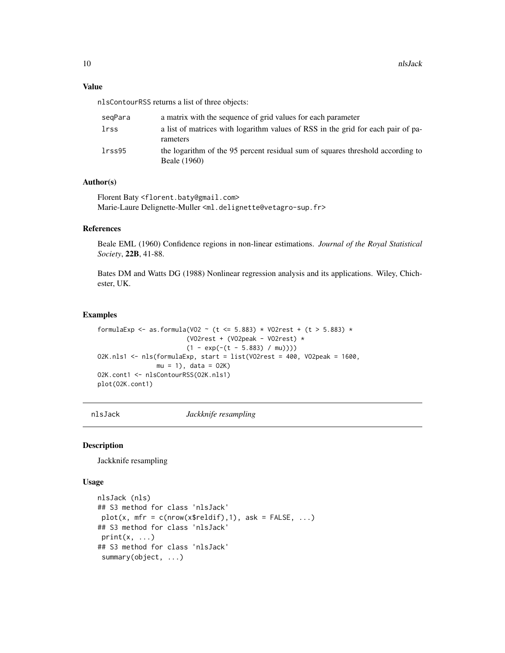#### <span id="page-9-0"></span>Value

nlsContourRSS returns a list of three objects:

| segPara | a matrix with the sequence of grid values for each parameter                                   |
|---------|------------------------------------------------------------------------------------------------|
| lrss    | a list of matrices with logarithm values of RSS in the grid for each pair of pa-<br>rameters   |
| lrss95  | the logarithm of the 95 percent residual sum of squares threshold according to<br>Beale (1960) |

#### Author(s)

Florent Baty <florent.baty@gmail.com> Marie-Laure Delignette-Muller <ml.delignette@vetagro-sup.fr>

#### References

Beale EML (1960) Confidence regions in non-linear estimations. *Journal of the Royal Statistical Society*, 22B, 41-88.

Bates DM and Watts DG (1988) Nonlinear regression analysis and its applications. Wiley, Chichester, UK.

#### Examples

```
formulaExp <- as.formula(VO2 ~ (t <= 5.883) * VO2rest + (t > 5.883) *
                        (VO2rest + (VO2peak - VO2rest) *
                        (1 - \exp(-(t - 5.883) / \text{mu})))O2K.nls1 <- nls(formulaExp, start = list(VO2rest = 400, VO2peak = 1600,
                mu = 1, data = 02K)
O2K.cont1 <- nlsContourRSS(O2K.nls1)
plot(O2K.cont1)
```
nlsJack *Jackknife resampling*

#### Description

Jackknife resampling

#### Usage

```
nlsJack (nls)
## S3 method for class 'nlsJack'
plot(x, mfr = c(nrow(x$reldif), 1), ask = FALSE, ...)## S3 method for class 'nlsJack'
print(x, \ldots)## S3 method for class 'nlsJack'
 summary(object, ...)
```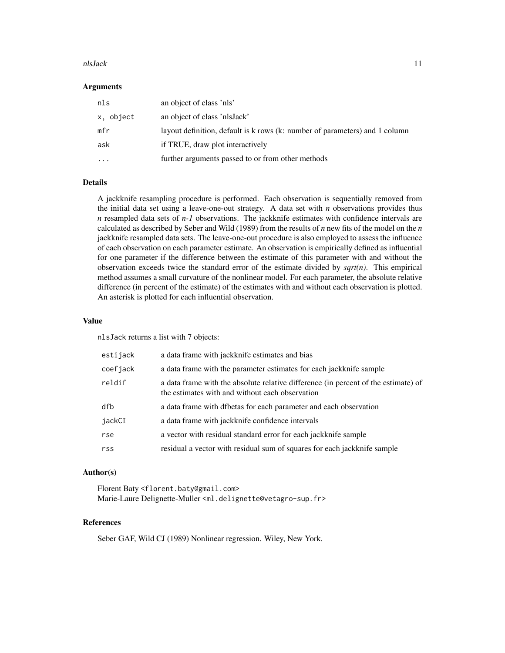#### nlsJack 11

#### Arguments

| nls       | an object of class 'nls'                                                    |
|-----------|-----------------------------------------------------------------------------|
| x, object | an object of class 'nlsJack'                                                |
| mfr       | layout definition, default is k rows (k: number of parameters) and 1 column |
| ask       | if TRUE, draw plot interactively                                            |
| $\cdots$  | further arguments passed to or from other methods                           |
|           |                                                                             |

#### Details

A jackknife resampling procedure is performed. Each observation is sequentially removed from the initial data set using a leave-one-out strategy. A data set with *n* observations provides thus *n* resampled data sets of *n-1* observations. The jackknife estimates with confidence intervals are calculated as described by Seber and Wild (1989) from the results of *n* new fits of the model on the *n* jackknife resampled data sets. The leave-one-out procedure is also employed to assess the influence of each observation on each parameter estimate. An observation is empirically defined as influential for one parameter if the difference between the estimate of this parameter with and without the observation exceeds twice the standard error of the estimate divided by *sqrt(n)*. This empirical method assumes a small curvature of the nonlinear model. For each parameter, the absolute relative difference (in percent of the estimate) of the estimates with and without each observation is plotted. An asterisk is plotted for each influential observation.

#### Value

nlsJack returns a list with 7 objects:

| estijack | a data frame with jackknife estimates and bias                                                                                        |
|----------|---------------------------------------------------------------------------------------------------------------------------------------|
| coefjack | a data frame with the parameter estimates for each jackknife sample                                                                   |
| reldif   | a data frame with the absolute relative difference (in percent of the estimate) of<br>the estimates with and without each observation |
| dfb      | a data frame with dfbetas for each parameter and each observation                                                                     |
| jackCI   | a data frame with jackknife confidence intervals                                                                                      |
| rse      | a vector with residual standard error for each jackknife sample                                                                       |
| rss      | residual a vector with residual sum of squares for each jackknife sample                                                              |

#### Author(s)

Florent Baty <florent.baty@gmail.com> Marie-Laure Delignette-Muller <ml.delignette@vetagro-sup.fr>

#### References

Seber GAF, Wild CJ (1989) Nonlinear regression. Wiley, New York.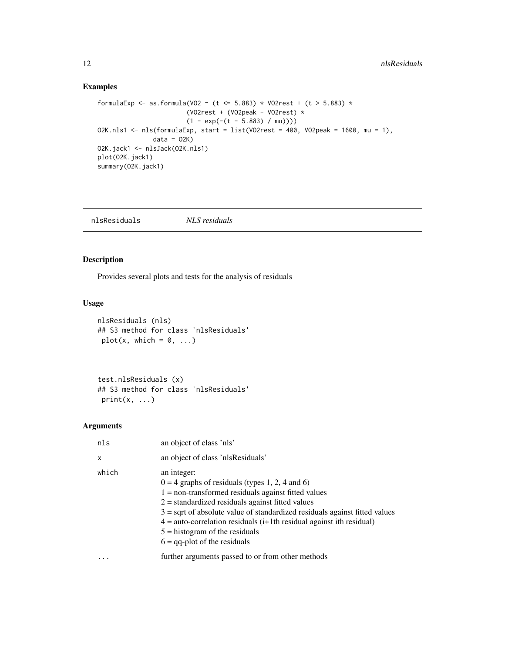### Examples

```
formulaExp <- as.formula(VO2 ~ (t <= 5.883) * VO2rest + (t > 5.883) *
                        (VO2rest + (VO2peak - VO2rest) *
                        (1 - \exp(-(t - 5.883) / \text{mu})))O2K.nls1 <- nls(formulaExp, start = list(VO2rest = 400, VO2peak = 1600, mu = 1),
               data = 02K)
O2K.jack1 <- nlsJack(O2K.nls1)
plot(O2K.jack1)
summary(02K.jack1)
```
nlsResiduals *NLS residuals*

### Description

Provides several plots and tests for the analysis of residuals

### Usage

```
nlsResiduals (nls)
## S3 method for class 'nlsResiduals'
plot(x, which = 0, ...)
```
test.nlsResiduals (x) ## S3 method for class 'nlsResiduals'  $print(x, \ldots)$ 

#### Arguments

| nls   | an object of class 'nls'                                                                                                                                                                                                                                                                                                                                                                                        |
|-------|-----------------------------------------------------------------------------------------------------------------------------------------------------------------------------------------------------------------------------------------------------------------------------------------------------------------------------------------------------------------------------------------------------------------|
| X     | an object of class 'nlsResiduals'                                                                                                                                                                                                                                                                                                                                                                               |
| which | an integer:<br>$0 = 4$ graphs of residuals (types 1, 2, 4 and 6)<br>$1 =$ non-transformed residuals against fitted values<br>$2$ = standardized residuals against fitted values<br>$3 =$ sqrt of absolute value of standardized residuals against fitted values<br>$4 =$ auto-correlation residuals (i+1th residual against ith residual)<br>$5 =$ histogram of the residuals<br>$6 =$ qq-plot of the residuals |
|       | further arguments passed to or from other methods                                                                                                                                                                                                                                                                                                                                                               |

<span id="page-11-0"></span>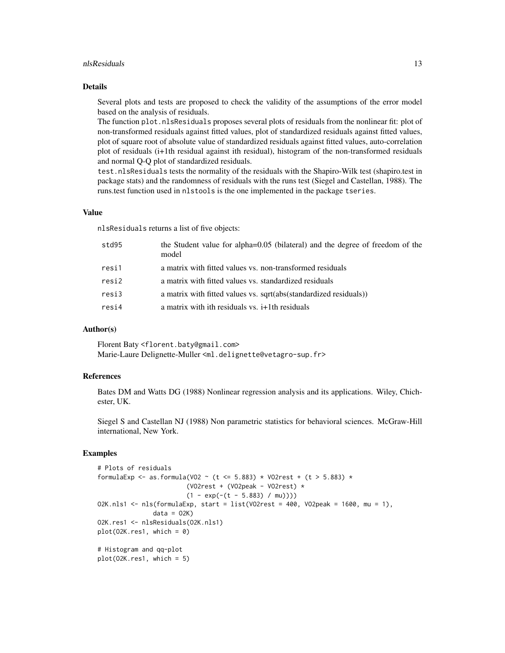#### nlsResiduals 13

#### Details

Several plots and tests are proposed to check the validity of the assumptions of the error model based on the analysis of residuals.

The function plot.nlsResiduals proposes several plots of residuals from the nonlinear fit: plot of non-transformed residuals against fitted values, plot of standardized residuals against fitted values, plot of square root of absolute value of standardized residuals against fitted values, auto-correlation plot of residuals (i+1th residual against ith residual), histogram of the non-transformed residuals and normal Q-Q plot of standardized residuals.

test.nlsResiduals tests the normality of the residuals with the Shapiro-Wilk test (shapiro.test in package stats) and the randomness of residuals with the runs test (Siegel and Castellan, 1988). The runs.test function used in nlstools is the one implemented in the package tseries.

#### Value

nlsResiduals returns a list of five objects:

| std95 | the Student value for alpha=0.05 (bilateral) and the degree of freedom of the<br>model |
|-------|----------------------------------------------------------------------------------------|
| resi1 | a matrix with fitted values vs. non-transformed residuals                              |
| resi2 | a matrix with fitted values vs. standardized residuals                                 |
| resi3 | a matrix with fitted values vs. sqrt(abs(standardized residuals))                      |
| resi4 | a matrix with ith residuals vs. $i+1$ th residuals                                     |
|       |                                                                                        |

#### Author(s)

Florent Baty <florent.baty@gmail.com> Marie-Laure Delignette-Muller <ml.delignette@vetagro-sup.fr>

#### References

Bates DM and Watts DG (1988) Nonlinear regression analysis and its applications. Wiley, Chichester, UK.

Siegel S and Castellan NJ (1988) Non parametric statistics for behavioral sciences. McGraw-Hill international, New York.

### Examples

```
# Plots of residuals
formulaExp <- as.formula(VO2 ~ (t <= 5.883) * VO2rest + (t > 5.883) *
                        (VO2rest + (VO2peak - VO2rest) *
                        (1 - \exp(-(t - 5.883) / \text{mu})))O2K.nls1 <- nls(formulaExp, start = list(VO2rest = 400, VO2peak = 1600, mu = 1),
               data = 02KO2K.res1 <- nlsResiduals(O2K.nls1)
plot(02K.res1, which = 0)# Histogram and qq-plot
plot(O2K.res1, which = 5)
```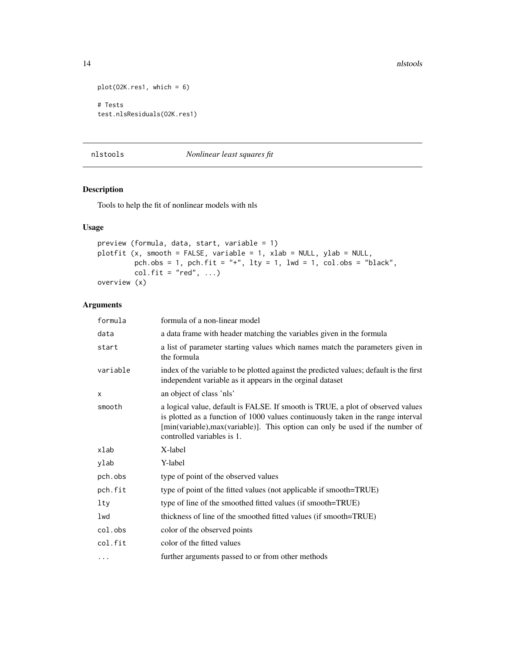```
plot(O2K.res1, which = 6)
# Tests
test.nlsResiduals(O2K.res1)
```
### nlstools *Nonlinear least squares fit*

# Description

Tools to help the fit of nonlinear models with nls

# Usage

```
preview (formula, data, start, variable = 1)
plotfit (x, smooth = FALSE, variable = 1, xlab = NULL, ylab = NULL,
        pch.obs = 1, pch.fit = "+", lty = 1, lwd = 1, col.obs = "black",
        col.fit = "red", ...)overview (x)
```
### Arguments

| formula  | formula of a non-linear model                                                                                                                                                                                                                                                      |
|----------|------------------------------------------------------------------------------------------------------------------------------------------------------------------------------------------------------------------------------------------------------------------------------------|
| data     | a data frame with header matching the variables given in the formula                                                                                                                                                                                                               |
| start    | a list of parameter starting values which names match the parameters given in<br>the formula                                                                                                                                                                                       |
| variable | index of the variable to be plotted against the predicted values; default is the first<br>independent variable as it appears in the orginal dataset                                                                                                                                |
| X        | an object of class 'nls'                                                                                                                                                                                                                                                           |
| smooth   | a logical value, default is FALSE. If smooth is TRUE, a plot of observed values<br>is plotted as a function of 1000 values continuously taken in the range interval<br>[min(variable), max(variable)]. This option can only be used if the number of<br>controlled variables is 1. |
| xlab     | X-label                                                                                                                                                                                                                                                                            |
| ylab     | Y-label                                                                                                                                                                                                                                                                            |
| pch.obs  | type of point of the observed values                                                                                                                                                                                                                                               |
| pch.fit  | type of point of the fitted values (not applicable if smooth=TRUE)                                                                                                                                                                                                                 |
| lty      | type of line of the smoothed fitted values (if smooth=TRUE)                                                                                                                                                                                                                        |
| lwd      | thickness of line of the smoothed fitted values (if smooth=TRUE)                                                                                                                                                                                                                   |
| col.obs  | color of the observed points                                                                                                                                                                                                                                                       |
| col.fit  | color of the fitted values                                                                                                                                                                                                                                                         |
| $\cdots$ | further arguments passed to or from other methods                                                                                                                                                                                                                                  |

<span id="page-13-0"></span>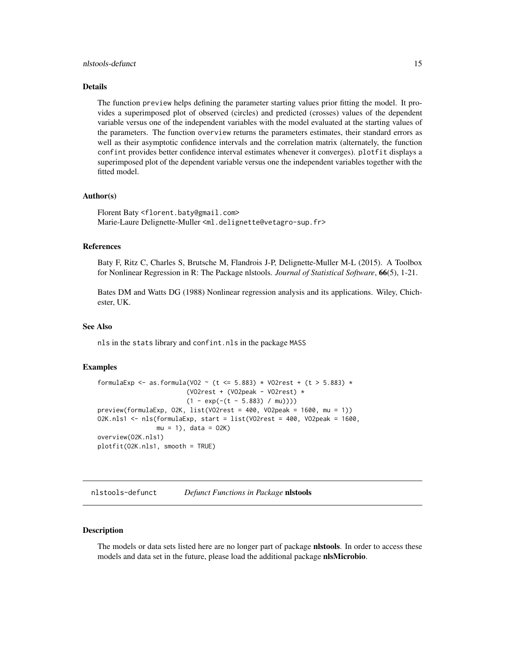#### <span id="page-14-0"></span>nlstools-defunct 15

#### Details

The function preview helps defining the parameter starting values prior fitting the model. It provides a superimposed plot of observed (circles) and predicted (crosses) values of the dependent variable versus one of the independent variables with the model evaluated at the starting values of the parameters. The function overview returns the parameters estimates, their standard errors as well as their asymptotic confidence intervals and the correlation matrix (alternately, the function confint provides better confidence interval estimates whenever it converges). plotfit displays a superimposed plot of the dependent variable versus one the independent variables together with the fitted model.

#### Author(s)

Florent Baty <florent.baty@gmail.com> Marie-Laure Delignette-Muller <ml.delignette@vetagro-sup.fr>

#### References

Baty F, Ritz C, Charles S, Brutsche M, Flandrois J-P, Delignette-Muller M-L (2015). A Toolbox for Nonlinear Regression in R: The Package nlstools. *Journal of Statistical Software*, 66(5), 1-21.

Bates DM and Watts DG (1988) Nonlinear regression analysis and its applications. Wiley, Chichester, UK.

#### See Also

nls in the stats library and confint.nls in the package MASS

#### Examples

```
formulaExp <- as.formula(VO2 ~ (t <= 5.883) * VO2rest + (t > 5.883) *
                        (VO2rest + (VO2peak - VO2rest) *
                        (1 - \exp(-(t - 5.883) / \text{mu})))preview(formulaExp, O2K, list(VO2rest = 400, VO2peak = 1600, mu = 1))
O2K.nls1 <- nls(formulaExp, start = list(VO2rest = 400, VO2peak = 1600,
                mu = 1, data = 02K)
overview(O2K.nls1)
plotfit(O2K.nls1, smooth = TRUE)
```
nlstools-defunct *Defunct Functions in Package* nlstools

#### Description

The models or data sets listed here are no longer part of package **nistools**. In order to access these models and data set in the future, please load the additional package nlsMicrobio.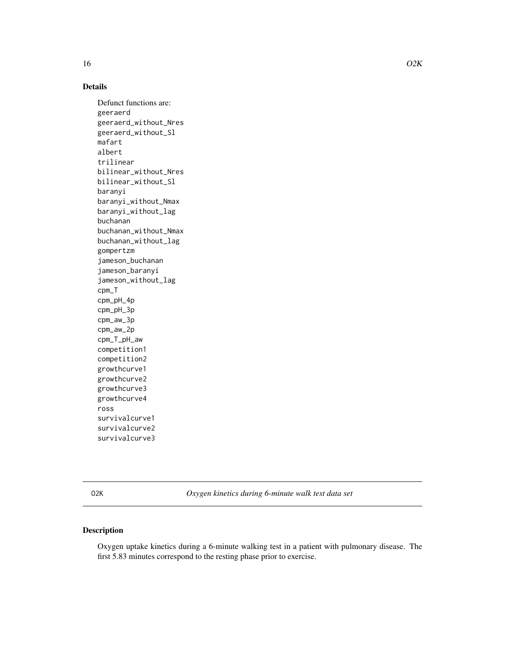# <span id="page-15-0"></span>Details

Defunct functions are: geeraerd geeraerd\_without\_Nres geeraerd\_without\_Sl mafart albert trilinear bilinear\_without\_Nres bilinear\_without\_Sl baranyi baranyi\_without\_Nmax baranyi\_without\_lag buchanan buchanan\_without\_Nmax buchanan\_without\_lag gompertzm jameson\_buchanan jameson\_baranyi jameson\_without\_lag cpm\_T cpm\_pH\_4p cpm\_pH\_3p cpm\_aw\_3p cpm\_aw\_2p cpm\_T\_pH\_aw competition1 competition2 growthcurve1 growthcurve2 growthcurve3 growthcurve4 ross survivalcurve1 survivalcurve2 survivalcurve3

O2K *Oxygen kinetics during 6-minute walk test data set*

# Description

Oxygen uptake kinetics during a 6-minute walking test in a patient with pulmonary disease. The first 5.83 minutes correspond to the resting phase prior to exercise.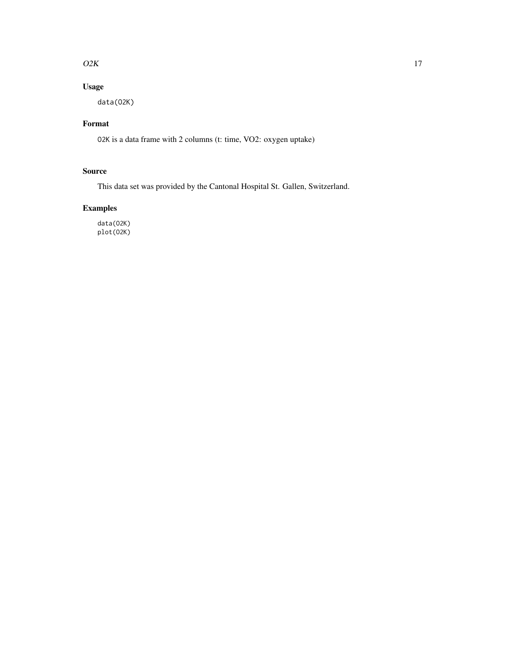#### $O2K$  and  $17$

# Usage

data(O2K)

# Format

O2K is a data frame with 2 columns (t: time, VO2: oxygen uptake)

# Source

This data set was provided by the Cantonal Hospital St. Gallen, Switzerland.

# Examples

data(O2K) plot(O2K)